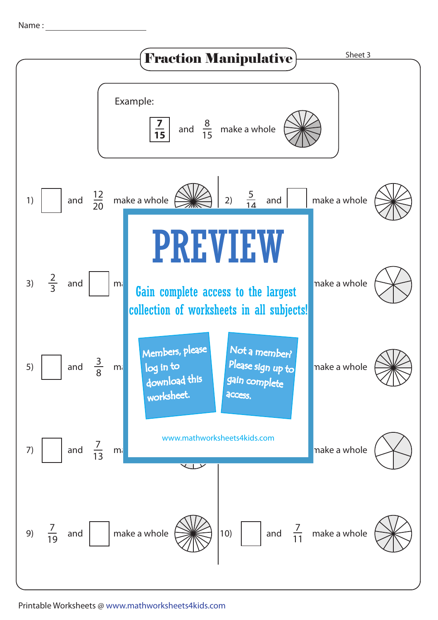Name :